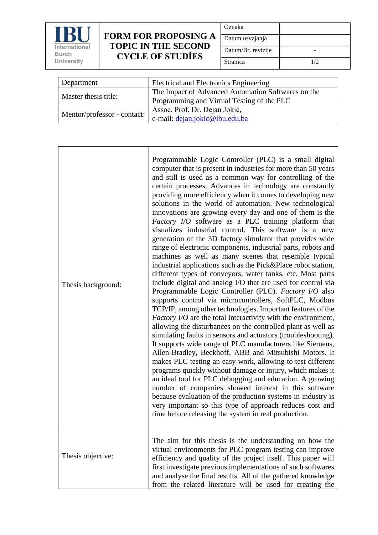

## **FORM FOR PROPOSING TOPIC IN THE SECOND CYCLE OF STUDİES**

|  | Oznaka             |  |
|--|--------------------|--|
|  | Datum usvajanja    |  |
|  | Datum/Br. revizije |  |
|  | Stranica           |  |

| Department                  | Electrical and Electronics Engineering             |  |
|-----------------------------|----------------------------------------------------|--|
| Master thesis title:        | The Impact of Advanced Automation Softwares on the |  |
|                             | Programming and Virtual Testing of the PLC         |  |
|                             | Assoc. Prof. Dr. Dejan Jokić,                      |  |
| Mentor/professor - contact: | e-mail: dejan.jokic@ibu.edu.ba                     |  |

| Thesis background: | Programmable Logic Controller (PLC) is a small digital<br>computer that is present in industries for more than 50 years<br>and still is used as a common way for controlling of the<br>certain processes. Advances in technology are constantly<br>providing more efficiency when it comes to developing new<br>solutions in the world of automation. New technological<br>innovations are growing every day and one of them is the<br>Factory I/O software as a PLC training platform that<br>visualizes industrial control. This software is a new<br>generation of the 3D factory simulator that provides wide<br>range of electronic components, industrial parts, robots and<br>machines as well as many scenes that resemble typical<br>industrial applications such as the Pick&Place robot station,<br>different types of conveyors, water tanks, etc. Most parts<br>include digital and analog I/O that are used for control via<br>Programmable Logic Controller (PLC). Factory I/O also<br>supports control via microcontrollers, SoftPLC, Modbus<br>TCP/IP, among other technologies. Important features of the<br><i>Factory I/O</i> are the total interactivity with the environment,<br>allowing the disturbances on the controlled plant as well as<br>simulating faults in sensors and actuators (troubleshooting).<br>It supports wide range of PLC manufacturers like Siemens,<br>Allen-Bradley, Beckhoff, ABB and Mitsubishi Motors. It<br>makes PLC testing an easy work, allowing to test different<br>programs quickly without damage or injury, which makes it<br>an ideal tool for PLC debugging and education. A growing<br>number of companies showed interest in this software<br>because evaluation of the production systems in industry is<br>very important so this type of approach reduces cost and<br>time before releasing the system in real production. |
|--------------------|-----------------------------------------------------------------------------------------------------------------------------------------------------------------------------------------------------------------------------------------------------------------------------------------------------------------------------------------------------------------------------------------------------------------------------------------------------------------------------------------------------------------------------------------------------------------------------------------------------------------------------------------------------------------------------------------------------------------------------------------------------------------------------------------------------------------------------------------------------------------------------------------------------------------------------------------------------------------------------------------------------------------------------------------------------------------------------------------------------------------------------------------------------------------------------------------------------------------------------------------------------------------------------------------------------------------------------------------------------------------------------------------------------------------------------------------------------------------------------------------------------------------------------------------------------------------------------------------------------------------------------------------------------------------------------------------------------------------------------------------------------------------------------------------------------------------------------------------------------------------------------------------------|
| Thesis objective:  | The aim for this thesis is the understanding on how the<br>virtual environments for PLC program testing can improve<br>efficiency and quality of the project itself. This paper will<br>first investigate previous implementations of such softwares<br>and analyse the final results. All of the gathered knowledge<br>from the related literature will be used for creating the                                                                                                                                                                                                                                                                                                                                                                                                                                                                                                                                                                                                                                                                                                                                                                                                                                                                                                                                                                                                                                                                                                                                                                                                                                                                                                                                                                                                                                                                                                             |